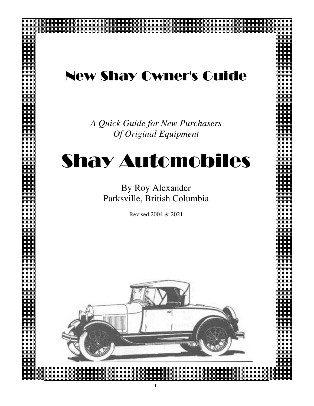# New Shay Owner's Guide

Shay Owners Guide

*A Quick Guide for New Purchasers Of Original Equipment*

# Shay Automobiles

By Roy Alexander Parksville, British Columbia

Revised 2004 & 2021

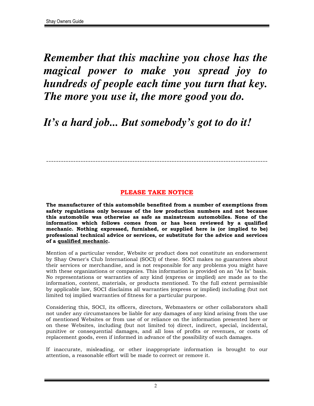*Remember that this machine you chose has the magical power to make you spread joy to hundreds of people each time you turn that key. The more you use it, the more good you do.* 

# *It's a hard job... But somebody's got to do it!*

#### **PLEASE TAKE NOTICE**

------------------------------------------------------------------------------------------

**The manufacturer of this automobile benefited from a number of exemptions from safety regulations only because of the low production numbers and not because this automobile was otherwise as safe as mainstream automobiles. None of the information which follows comes from or has been reviewed by a qualified mechanic. Nothing expressed, furnished, or supplied here is (or implied to be) professional technical advice or services, or substitute for the advice and services of a qualified mechanic.** 

Mention of a particular vendor, Website or product does not constitute an endorsement by Shay Owner's Club International (SOCI) of these. SOCI makes no guarantees about their services or merchandise, and is not responsible for any problems you might have with these organizations or companies. This information is provided on an "As Is" basis. No representations or warranties of any kind (express or implied) are made as to the information, content, materials, or products mentioned. To the full extent permissible by applicable law, SOCI disclaims all warranties (express or implied) including (but not limited to) implied warranties of fitness for a particular purpose.

Considering this, SOCI, its officers, directors, Webmasters or other collaborators shall not under any circumstances be liable for any damages of any kind arising from the use of mentioned Websites or from use of or reliance on the information presented here or on these Websites, including (but not limited to) direct, indirect, special, incidental, punitive or consequential damages, and all loss of profits or revenues, or costs of replacement goods, even if informed in advance of the possibility of such damages.

If inaccurate, misleading, or other inappropriate information is brought to our attention, a reasonable effort will be made to correct or remove it.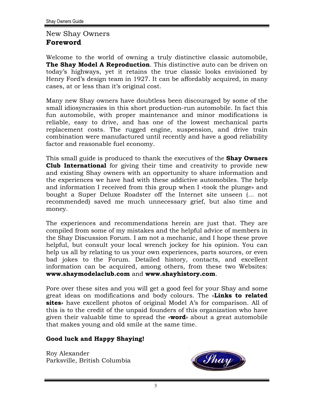#### New Shay Owners **Foreword**

Welcome to the world of owning a truly distinctive classic automobile, **The Shay Model A Reproduction**. This distinctive auto can be driven on today's highways, yet it retains the true classic looks envisioned by Henry Ford's design team in 1927. It can be affordably acquired, in many cases, at or less than it's original cost.

Many new Shay owners have doubtless been discouraged by some of the small idiosyncrasies in this short production-run automobile. In fact this fun automobile, with proper maintenance and minor modifications is reliable, easy to drive, and has one of the lowest mechanical parts replacement costs. The rugged engine, suspension, and drive train combination were manufactured until recently and have a good reliability factor and reasonable fuel economy.

This small guide is produced to thank the executives of the **Shay Owners Club International** for giving their time and creativity to provide new and existing Shay owners with an opportunity to share information and the experiences we have had with these addictive automobiles. The help and information I received from this group when I «took the plunge» and bought a Super Deluxe Roadster off the Internet site unseen (… not recommended) saved me much unnecessary grief, but also time and money.

The experiences and recommendations herein are just that. They are compiled from some of my mistakes and the helpful advice of members in the Shay Discussion Forum. I am not a mechanic, and I hope these prove helpful, but consult your local wrench jockey for his opinion. You can help us all by relating to us your own experiences, parts sources, or even bad jokes to the Forum. Detailed history, contacts, and excellent information can be acquired, among others, from these two Websites: **www.shaymodelaclub.com** and **www.shayhistory.com**.

Pore over these sites and you will get a good feel for your Shay and some great ideas on modifications and body colours. The «**Links to related sites**» have excellent photos of original Model A's for comparison. All of this is to the credit of the unpaid founders of this organization who have given their valuable time to spread the «**word**» about a great automobile that makes young and old smile at the same time.

#### **Good luck and Happy Shaying!**

Roy Alexander Parksville, British Columbia

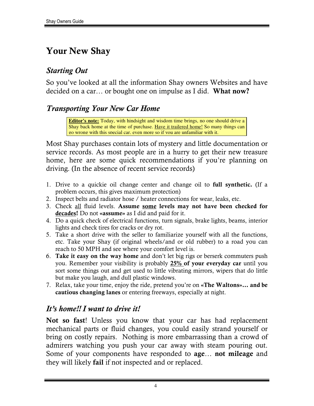# **Your New Shay**

# *Starting Out*

So you've looked at all the information Shay owners Websites and have decided on a car… or bought one on impulse as I did. **What now?**

# *Transporting Your New Car Home*

**Editor's note:** Today, with hindsight and wisdom time brings, no one should drive a Shay back home at the time of purchase. Have it trailered home! So many things can go wrong with this special car, even more so if you are unfamiliar with it.

Most Shay purchases contain lots of mystery and little documentation or service records. As most people are in a hurry to get their new treasure home, here are some quick recommendations if you're planning on driving. (In the absence of recent service records)

- 1. Drive to a quickie oil change center and change oil to **full synthetic.** (If a problem occurs, this gives maximum protection)
- 2. Inspect belts and radiator hose / heater connections for wear, leaks, etc.
- 3. Check all fluid levels. **Assume some levels may not have been checked for decades!** Do not **«assume»** as I did and paid for it.
- 4. Do a quick check of electrical functions, turn signals, brake lights, beams, interior lights and check tires for cracks or dry rot.
- 5. Take a short drive with the seller to familiarize yourself with all the functions, etc. Take your Shay (if original wheels/and or old rubber) to a road you can reach to 50 MPH and see where your comfort level is.
- 6. **Take it easy on the way home** and don't let big rigs or berserk commuters push you. Remember your visibility is probably **25% of your everyday car** until you sort some things out and get used to little vibrating mirrors, wipers that do little but make you laugh, and dull plastic windows.
- 7. Relax, take your time, enjoy the ride, pretend you're on **«The Waltons»… and be cautious changing lanes** or entering freeways, especially at night.

# *It's home!! I want to drive it!*

**Not so fast**! Unless you know that your car has had replacement mechanical parts or fluid changes, you could easily strand yourself or bring on costly repairs. Nothing is more embarrassing than a crowd of admirers watching you push your car away with steam pouring out. Some of your components have responded to **age**… **not mileage** and they will likely **fail** if not inspected and or replaced.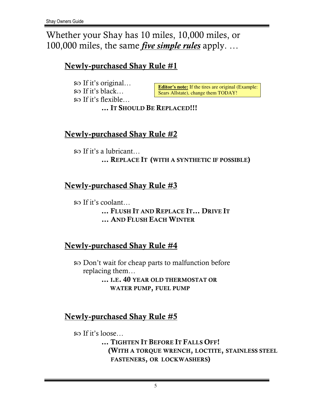Whether your Shay has 10 miles, 10,000 miles, or 100,000 miles, the same *five simple rules* apply. …

# **Newly-purchased Shay Rule #1**

 $\infty$  If it's original...  $\infty$  If it's black...  $\infty$  If it's flexible...

**Editor's note:** If the tires are original (Example: Sears Allstate), change them TODAY!

**… IT SHOULD BE REPLACED!!!** 

## **Newly-purchased Shay Rule #2**

 $\infty$  If it's a lubricant... **… REPLACE IT (WITH A SYNTHETIC IF POSSIBLE)** 

# **Newly-purchased Shay Rule #3**

If it's coolant… **… FLUSH IT AND REPLACE IT… DRIVE IT ... AND FLUSH EACH WINTER**

# **Newly-purchased Shay Rule #4**

Don't wait for cheap parts to malfunction before replacing them… **… I.E. 40 YEAR OLD THERMOSTAT OR** 

 **WATER PUMP, FUEL PUMP**

## **Newly-purchased Shay Rule #5**

 $\infty$  If it's loose...

**… TIGHTEN IT BEFORE IT FALLS OFF! (WITH A TORQUE WRENCH, LOCTITE, STAINLESS STEEL FASTENERS, OR LOCKWASHERS)**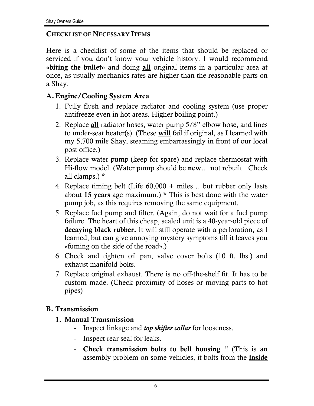#### **CHECKLIST OF NECESSARY ITEMS**

Here is a checklist of some of the items that should be replaced or serviced if you don't know your vehicle history. I would recommend **«biting the bullet»** and doing **all** original items in a particular area at once, as usually mechanics rates are higher than the reasonable parts on a Shay.

#### **A. Engine/Cooling System Area**

- 1. Fully flush and replace radiator and cooling system (use proper antifreeze even in hot areas. Higher boiling point.)
- 2. Replace **all** radiator hoses, water pump 5/8" elbow hose, and lines to under-seat heater(s). (These **will** fail if original, as I learned with my 5,700 mile Shay, steaming embarrassingly in front of our local post office.)
- 3. Replace water pump (keep for spare) and replace thermostat with Hi-flow model. (Water pump should be **new**… not rebuilt. Check all clamps.) **\***
- 4. Replace timing belt (Life 60,000 + miles… but rubber only lasts about **15 years** age maximum.) **\*** This is best done with the water pump job, as this requires removing the same equipment.
- 5. Replace fuel pump and filter. (Again, do not wait for a fuel pump failure. The heart of this cheap, sealed unit is a 40-year-old piece of **decaying black rubber.** It will still operate with a perforation, as I learned, but can give annoying mystery symptoms till it leaves you «fuming on the side of the road».)
- 6. Check and tighten oil pan, valve cover bolts (10 ft. lbs.) and exhaust manifold bolts.
- 7. Replace original exhaust. There is no off-the-shelf fit. It has to be custom made. (Check proximity of hoses or moving parts to hot pipes)

#### **B. Transmission**

- **1. Manual Transmission** 
	- Inspect linkage and *top shifter collar* for looseness.
	- Inspect rear seal for leaks.
	- **Check transmission bolts to bell housing** !! (This is an assembly problem on some vehicles, it bolts from the **inside**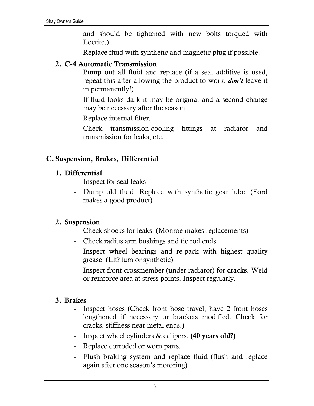and should be tightened with new bolts torqued with Loctite.)

Replace fluid with synthetic and magnetic plug if possible.

#### **2. C-4 Automatic Transmission**

- Pump out all fluid and replace (if a seal additive is used, repeat this after allowing the product to work, *don't* leave it in permanently!)
- If fluid looks dark it may be original and a second change may be necessary after the season
- Replace internal filter.
- Check transmission-cooling fittings at radiator and transmission for leaks, etc.

#### **C. Suspension, Brakes, Differential**

#### **1. Differential**

- Inspect for seal leaks
- Dump old fluid. Replace with synthetic gear lube. (Ford makes a good product)

#### **2. Suspension**

- Check shocks for leaks. (Monroe makes replacements)
- Check radius arm bushings and tie rod ends.
- Inspect wheel bearings and re-pack with highest quality grease. (Lithium or synthetic)
- Inspect front crossmember (under radiator) for **cracks**. Weld or reinforce area at stress points. Inspect regularly.

#### **3. Brakes**

- Inspect hoses (Check front hose travel, have 2 front hoses lengthened if necessary or brackets modified. Check for cracks, stiffness near metal ends.)
- Inspect wheel cylinders & calipers. **(40 years old?)**
- Replace corroded or worn parts.
- Flush braking system and replace fluid (flush and replace again after one season's motoring)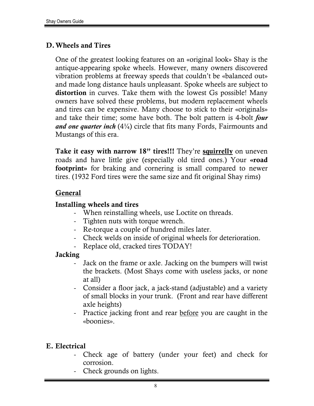#### **D. Wheels and Tires**

One of the greatest looking features on an «original look» Shay is the antique-appearing spoke wheels. However, many owners discovered vibration problems at freeway speeds that couldn't be «balanced out» and made long distance hauls unpleasant. Spoke wheels are subject to **distortion** in curves. Take them with the lowest Gs possible! Many owners have solved these problems, but modern replacement wheels and tires can be expensive. Many choose to stick to their «originals» and take their time; some have both. The bolt pattern is 4-bolt *four and one quarter inch* (4¼) circle that fits many Fords, Fairmounts and Mustangs of this era.

**Take it easy with narrow 18" tires!!!** They're **squirrelly** on uneven roads and have little give (especially old tired ones.) Your **«road footprint»** for braking and cornering is small compared to newer tires. (1932 Ford tires were the same size and fit original Shay rims)

#### **General**

#### **Installing wheels and tires**

- When reinstalling wheels, use Loctite on threads.
- Tighten nuts with torque wrench.
- Re-torque a couple of hundred miles later.
- Check welds on inside of original wheels for deterioration.
- Replace old, cracked tires TODAY!

#### **Jacking**

- Jack on the frame or axle. Jacking on the bumpers will twist the brackets. (Most Shays come with useless jacks, or none at all)
- Consider a floor jack, a jack-stand (adjustable) and a variety of small blocks in your trunk. (Front and rear have different axle heights)
- Practice jacking front and rear before you are caught in the «boonies».

## **E. Electrical**

- Check age of battery (under your feet) and check for corrosion.
- Check grounds on lights.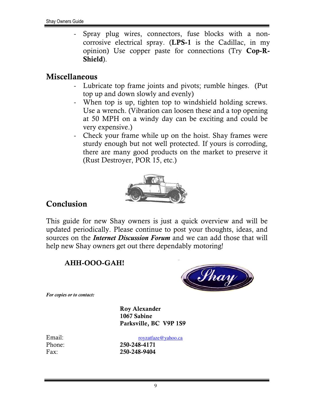Spray plug wires, connectors, fuse blocks with a noncorrosive electrical spray. (**LPS-1** is the Cadillac, in my opinion) Use copper paste for connections (Try **Cop-R-Shield**).

#### **Miscellaneous**

- Lubricate top frame joints and pivots; rumble hinges. (Put top up and down slowly and evenly)
- When top is up, tighten top to windshield holding screws. Use a wrench. (Vibration can loosen these and a top opening at 50 MPH on a windy day can be exciting and could be very expensive.)
- Check your frame while up on the hoist. Shay frames were sturdy enough but not well protected. If yours is corroding, there are many good products on the market to preserve it (Rust Destroyer, POR 15, etc.)



# **Conclusion**

This guide for new Shay owners is just a quick overview and will be updated periodically. Please continue to post your thoughts, ideas, and sources on the *Internet Discussion Forum* and we can add those that will help new Shay owners get out there dependably motoring!

#### **AHH-OOO-GAH!**



*For copies or to contact:* 

 **Roy Alexander 1067 Sabine Parksville, BC V9P 1S9**

Email:  $r_{\text{ovz} \text{atface} \textcircled{v} \text{ahoo} \text{.} \text{ca}}$ Phone: **250-248-4171** Fax: **250-248-9404**